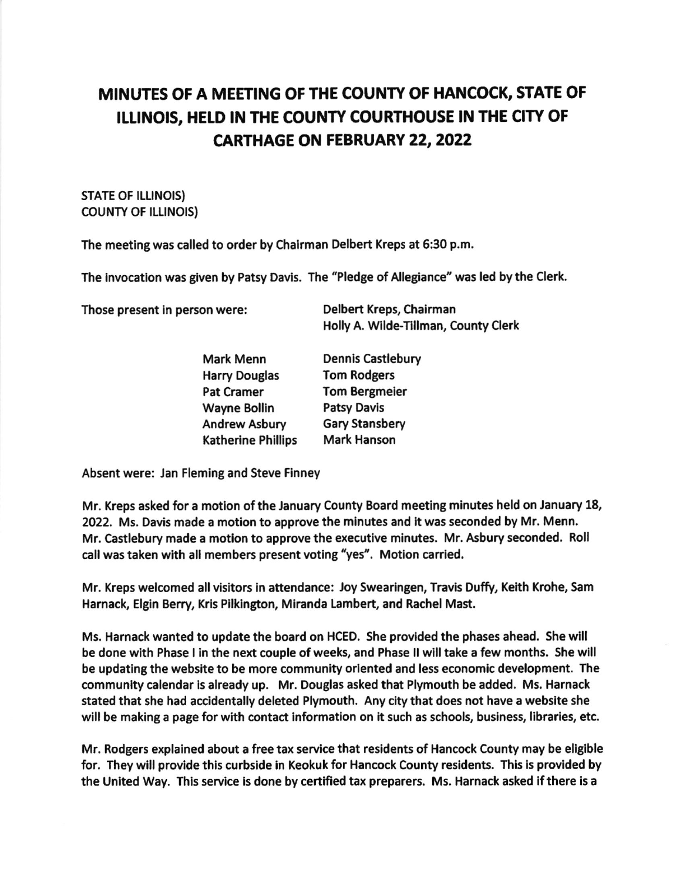## MINUTES OF A MEETING OF THE COUNTY OF HANCOCK, STATE OF ILLINOIS, HELD IN THE COUNTY COURTHOUSE IN THE CITY OF **CARTHAGE ON FEBRUARY 22, 2022**

## STATE OF ILLINOIS) **COUNTY OF ILLINOIS)**

The meeting was called to order by Chalrman Delbert Kreps at 6:30 p.m,

The invocation was given by Patsy Davis. The "Pledge of Allegiance" was led by the Clerk.

Those present in person were: Delbert Kreps, Chairman

Holly A. Wilde-Tillman, County Clerk

| Mark Menn                 | <b>Dennis Castlebury</b> |  |
|---------------------------|--------------------------|--|
| <b>Harry Douglas</b>      | <b>Tom Rodgers</b>       |  |
| <b>Pat Cramer</b>         | <b>Tom Bergmeier</b>     |  |
| <b>Wayne Bollin</b>       | <b>Patsy Davis</b>       |  |
| <b>Andrew Asbury</b>      | <b>Gary Stansbery</b>    |  |
| <b>Katherine Phillips</b> | <b>Mark Hanson</b>       |  |

Absent were: Jan Fleming and Steve Finney

Mr. Kreps asked for a motion of the January County Board meeting minutes held on January 18, 2022. Ms. Davis made a motion to approve the minutes and it was seconded by Mr. Menn. Mr. Castlebury made a motion to approve the executive minutes. Mr. Asbury seconded. Roll call was taken with all members present voting "yes". Motion carried.

Mr. Kreps welcomed all visitors in attendance: Joy Swearingen, Travis Duffy, Keith Krohe, Sam Harnack, Elgin Berry, Kris Pilkington, Miranda Lambert, and Rachel Mast.

Ms. Harnack wanted to update the board on HCED. She provlded the phases ahead. She wlll be done with Phase I in the next couple of weeks, and Phase II will take a few months. She will be updating the website to be more community oriented and less economic development. The community calendar is already up. Mr, Douglas asked that Plymouth be added. Ms. Harnack stated that she had accldentally deleted Plymouth. Any city that does not have a webslte she will be making a page for with contact information on it such as schools, business, libraries, etc.

Mr. Rodgers explained about a free tax service that residents of Hancock County may be eligible for. They will provide this curbside in Keokuk for Hancock County residents. This is provided by the United Way. This service is done by certified tax preparers. Ms. Harnack asked if there is a